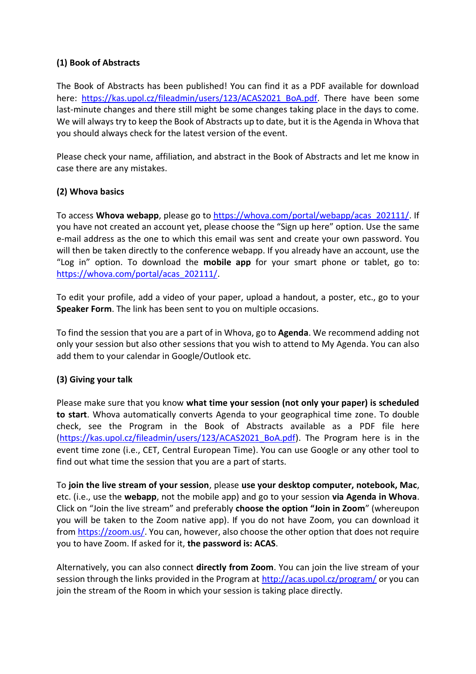## **(1) Book of Abstracts**

The Book of Abstracts has been published! You can find it as a PDF available for download here: [https://kas.upol.cz/fileadmin/users/123/ACAS2021\\_BoA.pdf.](https://kas.upol.cz/fileadmin/users/123/ACAS2021_BoA.pdf) There have been some last-minute changes and there still might be some changes taking place in the days to come. We will always try to keep the Book of Abstracts up to date, but it is the Agenda in Whova that you should always check for the latest version of the event.

Please check your name, affiliation, and abstract in the Book of Abstracts and let me know in case there are any mistakes.

## **(2) Whova basics**

To access **Whova webapp**, please go to [https://whova.com/portal/webapp/acas\\_202111/.](https://whova.com/portal/webapp/acas_202111/) If you have not created an account yet, please choose the "Sign up here" option. Use the same e-mail address as the one to which this email was sent and create your own password. You will then be taken directly to the conference webapp. If you already have an account, use the "Log in" option. To download the **mobile app** for your smart phone or tablet, go to: [https://whova.com/portal/acas\\_202111/.](https://whova.com/portal/acas_202111/)

To edit your profile, add a video of your paper, upload a handout, a poster, etc., go to your **Speaker Form**. The link has been sent to you on multiple occasions.

To find the session that you are a part of in Whova, go to **Agenda**. We recommend adding not only your session but also other sessions that you wish to attend to My Agenda. You can also add them to your calendar in Google/Outlook etc.

## **(3) Giving your talk**

Please make sure that you know **what time your session (not only your paper) is scheduled to start**. Whova automatically converts Agenda to your geographical time zone. To double check, see the Program in the Book of Abstracts available as a PDF file here [\(https://kas.upol.cz/fileadmin/users/123/ACAS2021\\_BoA.pdf\)](https://kas.upol.cz/fileadmin/users/123/ACAS2021_BoA.pdf). The Program here is in the event time zone (i.e., CET, Central European Time). You can use Google or any other tool to find out what time the session that you are a part of starts.

To **join the live stream of your session**, please **use your desktop computer, notebook, Mac**, etc. (i.e., use the **webapp**, not the mobile app) and go to your session **via Agenda in Whova**. Click on "Join the live stream" and preferably **choose the option "Join in Zoom**" (whereupon you will be taken to the Zoom native app). If you do not have Zoom, you can download it from [https://zoom.us/.](https://zoom.us/) You can, however, also choose the other option that does not require you to have Zoom. If asked for it, **the password is: ACAS**.

Alternatively, you can also connect **directly from Zoom**. You can join the live stream of your session through the links provided in the Program at<http://acas.upol.cz/program/> or you can join the stream of the Room in which your session is taking place directly.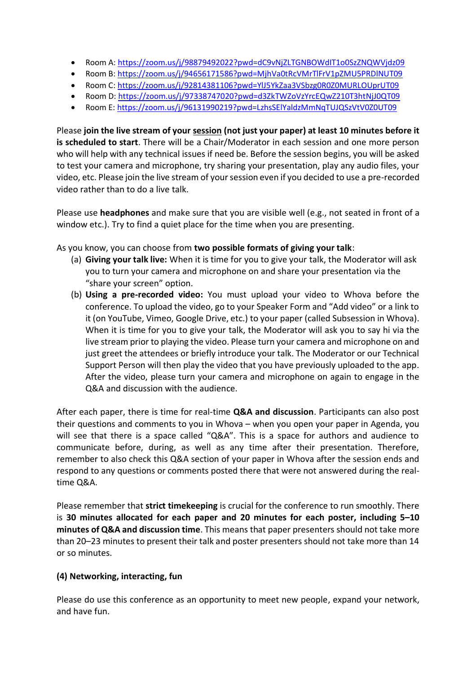- Room A:<https://zoom.us/j/98879492022?pwd=dC9vNjZLTGNBOWdIT1o0SzZNQWVjdz09>
- Room B:<https://zoom.us/j/94656171586?pwd=MjhVa0tRcVMrTlFrV1pZMU5PRDlNUT09>
- Room C:<https://zoom.us/j/92814381106?pwd=YlJ5YkZaa3VSbzg0R0Z0MURLOUprUT09>
- Room D:<https://zoom.us/j/97338747020?pwd=d3ZkTWZoVzYrcEQwZ210T3htNjJ0QT09>
- Room E:<https://zoom.us/j/96131990219?pwd=LzhsSElYaldzMmNqTUJQSzVtV0Z0UT09>

Please **join the live stream of your session (not just your paper) at least 10 minutes before it is scheduled to start**. There will be a Chair/Moderator in each session and one more person who will help with any technical issues if need be. Before the session begins, you will be asked to test your camera and microphone, try sharing your presentation, play any audio files, your video, etc. Please join the live stream of your session even if you decided to use a pre-recorded video rather than to do a live talk.

Please use **headphones** and make sure that you are visible well (e.g., not seated in front of a window etc.). Try to find a quiet place for the time when you are presenting.

As you know, you can choose from **two possible formats of giving your talk**:

- (a) **Giving your talk live:** When it is time for you to give your talk, the Moderator will ask you to turn your camera and microphone on and share your presentation via the "share your screen" option.
- (b) **Using a pre-recorded video:** You must upload your video to Whova before the conference. To upload the video, go to your Speaker Form and "Add video" or a link to it (on YouTube, Vimeo, Google Drive, etc.) to your paper (called Subsession in Whova). When it is time for you to give your talk, the Moderator will ask you to say hi via the live stream prior to playing the video. Please turn your camera and microphone on and just greet the attendees or briefly introduce your talk. The Moderator or our Technical Support Person will then play the video that you have previously uploaded to the app. After the video, please turn your camera and microphone on again to engage in the Q&A and discussion with the audience.

After each paper, there is time for real-time **Q&A and discussion**. Participants can also post their questions and comments to you in Whova – when you open your paper in Agenda, you will see that there is a space called "Q&A". This is a space for authors and audience to communicate before, during, as well as any time after their presentation. Therefore, remember to also check this Q&A section of your paper in Whova after the session ends and respond to any questions or comments posted there that were not answered during the realtime Q&A.

Please remember that **strict timekeeping** is crucial for the conference to run smoothly. There is **30 minutes allocated for each paper and 20 minutes for each poster, including 5–10 minutes of Q&A and discussion time**. This means that paper presenters should not take more than 20–23 minutes to present their talk and poster presenters should not take more than 14 or so minutes.

## **(4) Networking, interacting, fun**

Please do use this conference as an opportunity to meet new people, expand your network, and have fun.